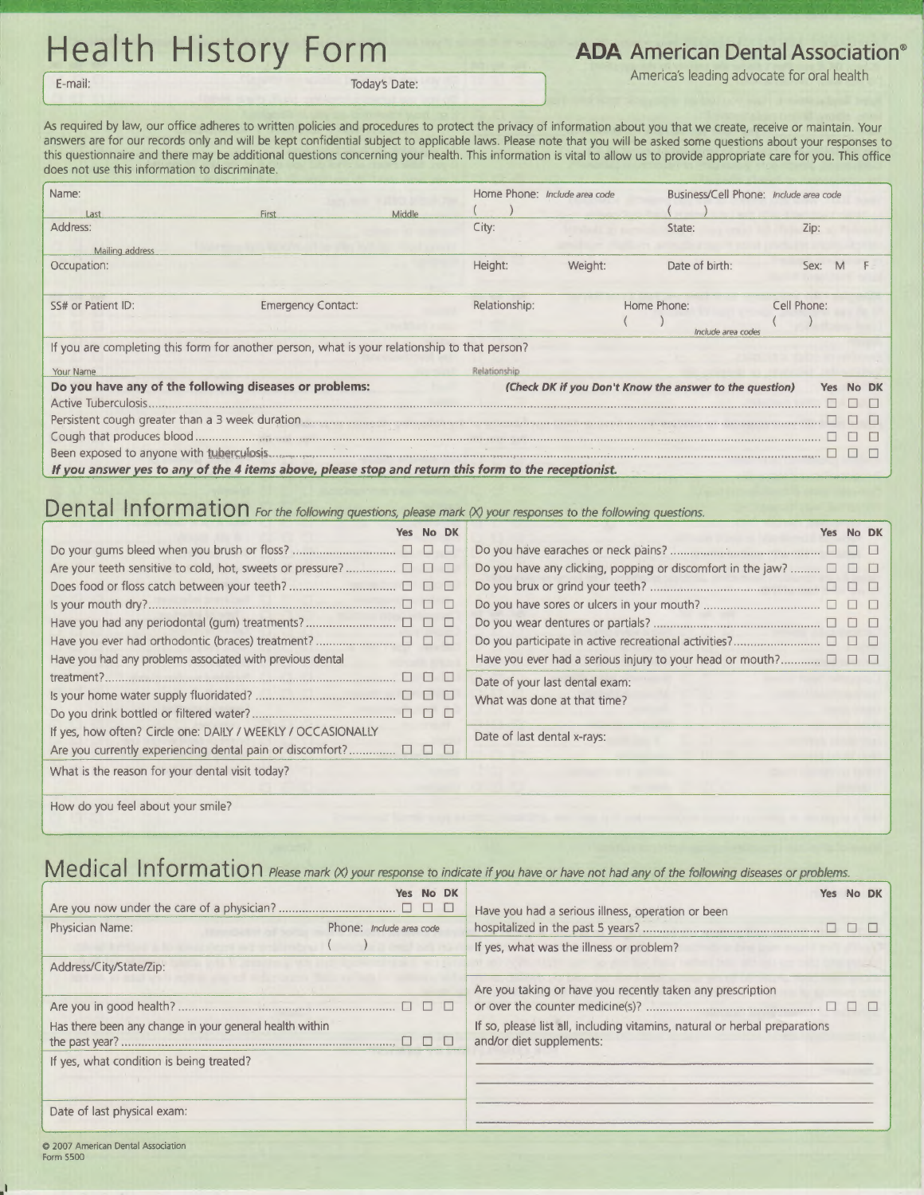## Health History Form **ADA** American Dental Association®

E-mail: Today's Date: Today's Date: Today's Date: Today's Date: Today's Date: America's leading advocate for oral health

As required by law, our office adheres to written policies and procedures to protect the privacy of information about you that we create, receive or maintain. Your answers are for our records only and will be kept confidential subject to applicable laws. Please note that you will be asked some questions about your responses to this questionnaire and there may be additional questions concerning your health. This information is vital to allow us to provide appropriate care for you. This office does not use this information to discriminate.

| Name:<br>Last                                                                                 | First                     | Middle | Home Phone: Include area code |         | Business/Cell Phone: Include area code                  |             |           |
|-----------------------------------------------------------------------------------------------|---------------------------|--------|-------------------------------|---------|---------------------------------------------------------|-------------|-----------|
| Address:                                                                                      |                           |        | City:                         |         | State:                                                  | Zip:        |           |
| Mailing address                                                                               |                           |        |                               |         |                                                         |             |           |
| Occupation:                                                                                   |                           |        | Height:                       | Weight: | Date of birth:                                          | Sex:        |           |
|                                                                                               |                           |        |                               |         |                                                         |             |           |
| SS# or Patient ID:                                                                            | <b>Emergency Contact:</b> |        | Relationship:                 |         | Home Phone:                                             | Cell Phone: |           |
|                                                                                               |                           |        |                               |         | Include area codes                                      |             |           |
| If you are completing this form for another person, what is your relationship to that person? |                           |        |                               |         |                                                         |             |           |
| Your Name                                                                                     |                           |        | Relationship                  |         |                                                         |             |           |
| Do you have any of the following diseases or problems:                                        |                           |        |                               |         | (Check DK if you Don't Know the answer to the question) | Yes         | <b>DK</b> |
|                                                                                               |                           |        |                               |         |                                                         |             |           |
|                                                                                               |                           |        |                               |         |                                                         |             |           |
|                                                                                               |                           |        |                               |         |                                                         |             |           |
|                                                                                               |                           |        |                               |         |                                                         |             |           |
|                                                                                               |                           |        |                               |         |                                                         |             |           |

If you answer yes to any of the 4 items above, please stop and return this form to the receptionist.

## **Dental Information** For the following questions, please mark (X) your responses to the following questions.

|                                                                               | Yes No DK  |           | Yes No DK                                                                       |
|-------------------------------------------------------------------------------|------------|-----------|---------------------------------------------------------------------------------|
|                                                                               |            | <b>FO</b> |                                                                                 |
|                                                                               |            |           | Do you have any clicking, popping or discomfort in the jaw? $\square$ $\square$ |
|                                                                               | <b>DOO</b> |           |                                                                                 |
|                                                                               |            |           |                                                                                 |
|                                                                               |            |           |                                                                                 |
|                                                                               |            |           |                                                                                 |
| Have you had any problems associated with previous dental                     |            |           | Have you ever had a serious injury to your head or mouth? $\square$             |
|                                                                               | <b>UUU</b> |           | Date of your last dental exam:                                                  |
|                                                                               |            |           | What was done at that time?                                                     |
|                                                                               |            |           |                                                                                 |
| If yes, how often? Circle one: DAILY / WEEKLY / OCCASIONALLY                  |            |           | Date of last dental x-rays:                                                     |
| Are you currently experiencing dental pain or discomfort? $\square$ $\square$ |            |           |                                                                                 |
| What is the reason for your dental visit today?                               |            |           |                                                                                 |

How do you feel about your smile?

## Medical Information *Please mark (X) your response to indicate if you have or have not had any of the following diseases or problems.*

|                                                         |                                 | Yes No DK |                                                                            | Have you had a serious illness, operation or been          |  | Yes No DK |  |  |  |
|---------------------------------------------------------|---------------------------------|-----------|----------------------------------------------------------------------------|------------------------------------------------------------|--|-----------|--|--|--|
| Physician Name:                                         | Phone: <i>Include area code</i> |           |                                                                            |                                                            |  |           |  |  |  |
|                                                         |                                 |           |                                                                            | If yes, what was the illness or problem?                   |  |           |  |  |  |
| Address/City/State/Zip:                                 |                                 |           |                                                                            |                                                            |  |           |  |  |  |
|                                                         |                                 |           |                                                                            | Are you taking or have you recently taken any prescription |  |           |  |  |  |
|                                                         |                                 |           | If so, please list all, including vitamins, natural or herbal preparations |                                                            |  |           |  |  |  |
| Has there been any change in your general health within |                                 |           |                                                                            |                                                            |  |           |  |  |  |
|                                                         |                                 |           |                                                                            | and/or diet supplements:                                   |  |           |  |  |  |
| If yes, what condition is being treated?                |                                 |           |                                                                            |                                                            |  |           |  |  |  |
|                                                         |                                 |           |                                                                            |                                                            |  |           |  |  |  |
| Date of last physical exam:                             |                                 |           |                                                                            |                                                            |  |           |  |  |  |